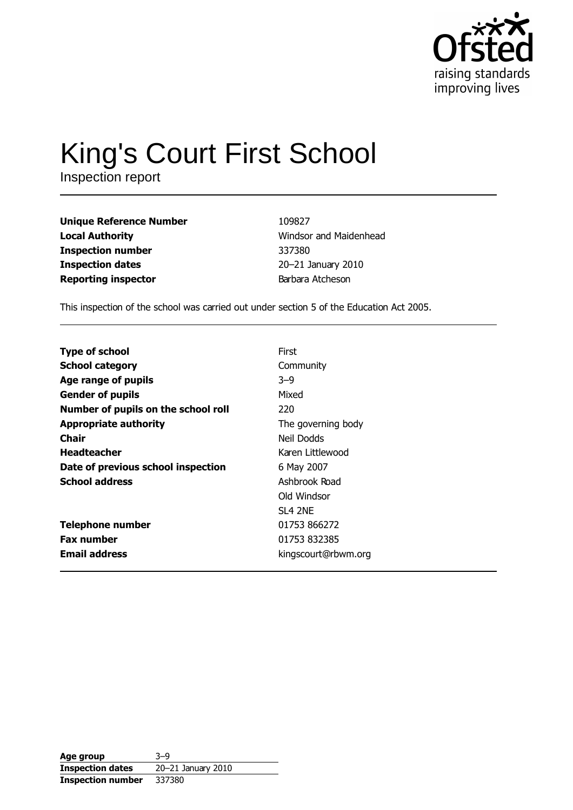

# **King's Court First School**

Inspection report

**Unique Reference Number Local Authority Inspection number Inspection dates Reporting inspector** 

109827 Windsor and Maidenhead 337380 20-21 January 2010 Barbara Atcheson

This inspection of the school was carried out under section 5 of the Education Act 2005.

| <b>Type of school</b>               | First               |
|-------------------------------------|---------------------|
| <b>School category</b>              | Community           |
| Age range of pupils                 | $3 - 9$             |
| <b>Gender of pupils</b>             | Mixed               |
| Number of pupils on the school roll | 220                 |
| <b>Appropriate authority</b>        | The governing body  |
| Chair                               | Neil Dodds          |
| <b>Headteacher</b>                  | Karen Littlewood    |
| Date of previous school inspection  | 6 May 2007          |
| <b>School address</b>               | Ashbrook Road       |
|                                     | Old Windsor         |
|                                     | <b>SL4 2NE</b>      |
| <b>Telephone number</b>             | 01753 866272        |
| <b>Fax number</b>                   | 01753 832385        |
| <b>Email address</b>                | kingscourt@rbwm.org |

| Age group                | $3 - 9$            |
|--------------------------|--------------------|
| <b>Inspection dates</b>  | 20-21 January 2010 |
| <b>Inspection number</b> | 337380             |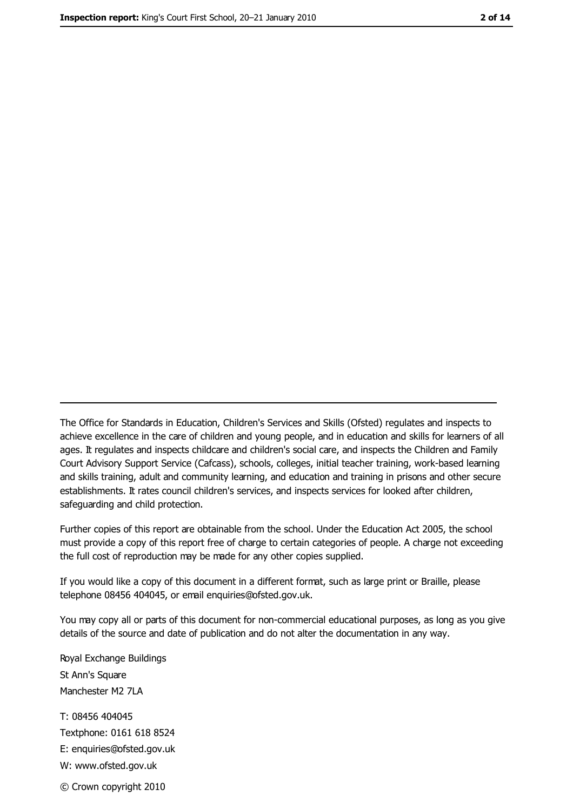The Office for Standards in Education, Children's Services and Skills (Ofsted) regulates and inspects to achieve excellence in the care of children and young people, and in education and skills for learners of all ages. It regulates and inspects childcare and children's social care, and inspects the Children and Family Court Advisory Support Service (Cafcass), schools, colleges, initial teacher training, work-based learning and skills training, adult and community learning, and education and training in prisons and other secure establishments. It rates council children's services, and inspects services for looked after children, safequarding and child protection.

Further copies of this report are obtainable from the school. Under the Education Act 2005, the school must provide a copy of this report free of charge to certain categories of people. A charge not exceeding the full cost of reproduction may be made for any other copies supplied.

If you would like a copy of this document in a different format, such as large print or Braille, please telephone 08456 404045, or email enquiries@ofsted.gov.uk.

You may copy all or parts of this document for non-commercial educational purposes, as long as you give details of the source and date of publication and do not alter the documentation in any way.

Royal Exchange Buildings St Ann's Square Manchester M2 7LA T: 08456 404045 Textphone: 0161 618 8524 E: enquiries@ofsted.gov.uk W: www.ofsted.gov.uk © Crown copyright 2010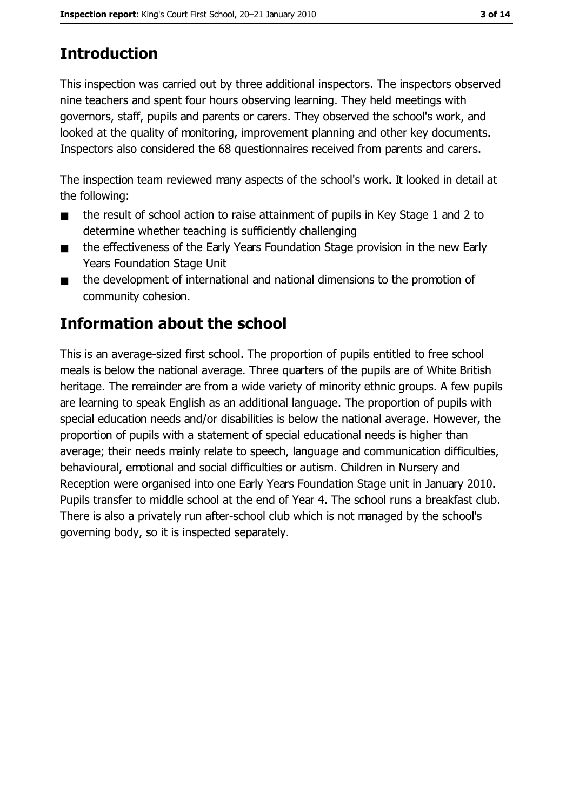# **Introduction**

This inspection was carried out by three additional inspectors. The inspectors observed nine teachers and spent four hours observing learning. They held meetings with governors, staff, pupils and parents or carers. They observed the school's work, and looked at the quality of monitoring, improvement planning and other key documents. Inspectors also considered the 68 questionnaires received from parents and carers.

The inspection team reviewed many aspects of the school's work. It looked in detail at the following:

- the result of school action to raise attainment of pupils in Key Stage 1 and 2 to  $\blacksquare$ determine whether teaching is sufficiently challenging
- the effectiveness of the Early Years Foundation Stage provision in the new Early  $\blacksquare$ **Years Foundation Stage Unit**
- the development of international and national dimensions to the promotion of  $\blacksquare$ community cohesion.

## Information about the school

This is an average-sized first school. The proportion of pupils entitled to free school meals is below the national average. Three quarters of the pupils are of White British heritage. The remainder are from a wide variety of minority ethnic groups. A few pupils are learning to speak English as an additional language. The proportion of pupils with special education needs and/or disabilities is below the national average. However, the proportion of pupils with a statement of special educational needs is higher than average; their needs mainly relate to speech, language and communication difficulties, behavioural, emotional and social difficulties or autism. Children in Nursery and Reception were organised into one Early Years Foundation Stage unit in January 2010. Pupils transfer to middle school at the end of Year 4. The school runs a breakfast club. There is also a privately run after-school club which is not managed by the school's governing body, so it is inspected separately.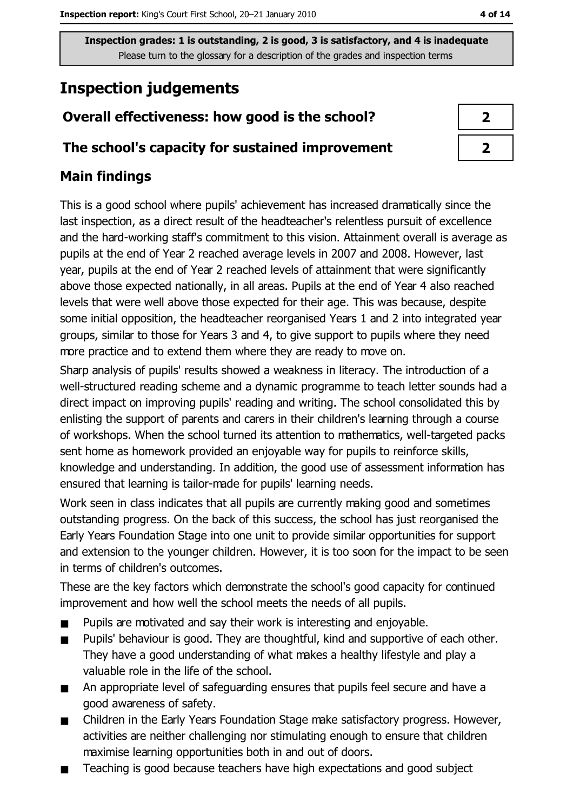# **Inspection judgements**

## Overall effectiveness: how good is the school?

## The school's capacity for sustained improvement

## **Main findings**

This is a good school where pupils' achievement has increased dramatically since the last inspection, as a direct result of the headteacher's relentless pursuit of excellence and the hard-working staff's commitment to this vision. Attainment overall is average as pupils at the end of Year 2 reached average levels in 2007 and 2008. However, last year, pupils at the end of Year 2 reached levels of attainment that were significantly above those expected nationally, in all areas. Pupils at the end of Year 4 also reached levels that were well above those expected for their age. This was because, despite some initial opposition, the headteacher reorganised Years 1 and 2 into integrated year groups, similar to those for Years 3 and 4, to give support to pupils where they need more practice and to extend them where they are ready to move on.

Sharp analysis of pupils' results showed a weakness in literacy. The introduction of a well-structured reading scheme and a dynamic programme to teach letter sounds had a direct impact on improving pupils' reading and writing. The school consolidated this by enlisting the support of parents and carers in their children's learning through a course of workshops. When the school turned its attention to mathematics, well-targeted packs sent home as homework provided an enjoyable way for pupils to reinforce skills, knowledge and understanding. In addition, the good use of assessment information has ensured that learning is tailor-made for pupils' learning needs.

Work seen in class indicates that all pupils are currently making good and sometimes outstanding progress. On the back of this success, the school has just reorganised the Early Years Foundation Stage into one unit to provide similar opportunities for support and extension to the younger children. However, it is too soon for the impact to be seen in terms of children's outcomes.

These are the key factors which demonstrate the school's good capacity for continued improvement and how well the school meets the needs of all pupils.

- Pupils are motivated and say their work is interesting and enjoyable.  $\blacksquare$
- Pupils' behaviour is good. They are thoughtful, kind and supportive of each other. They have a good understanding of what makes a healthy lifestyle and play a valuable role in the life of the school.
- An appropriate level of safeguarding ensures that pupils feel secure and have a  $\blacksquare$ good awareness of safety.
- Children in the Early Years Foundation Stage make satisfactory progress. However,  $\blacksquare$ activities are neither challenging nor stimulating enough to ensure that children maximise learning opportunities both in and out of doors.
- Teaching is good because teachers have high expectations and good subject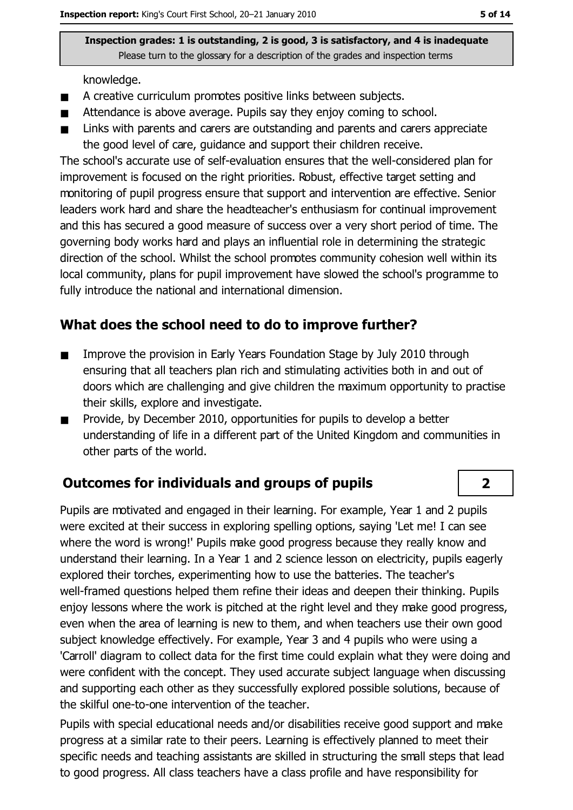knowledge.

- A creative curriculum promotes positive links between subjects.  $\blacksquare$
- Attendance is above average. Pupils say they enjoy coming to school.  $\blacksquare$
- Links with parents and carers are outstanding and parents and carers appreciate  $\blacksquare$ the good level of care, guidance and support their children receive.

The school's accurate use of self-evaluation ensures that the well-considered plan for improvement is focused on the right priorities. Robust, effective target setting and monitoring of pupil progress ensure that support and intervention are effective. Senior leaders work hard and share the headteacher's enthusiasm for continual improvement and this has secured a good measure of success over a very short period of time. The governing body works hard and plays an influential role in determining the strategic direction of the school. Whilst the school promotes community cohesion well within its local community, plans for pupil improvement have slowed the school's programme to fully introduce the national and international dimension.

## What does the school need to do to improve further?

- Improve the provision in Early Years Foundation Stage by July 2010 through  $\blacksquare$ ensuring that all teachers plan rich and stimulating activities both in and out of doors which are challenging and give children the maximum opportunity to practise their skills, explore and investigate.
- Provide, by December 2010, opportunities for pupils to develop a better  $\blacksquare$ understanding of life in a different part of the United Kingdom and communities in other parts of the world.

## **Outcomes for individuals and groups of pupils**

Pupils are motivated and engaged in their learning. For example, Year 1 and 2 pupils were excited at their success in exploring spelling options, saying 'Let me! I can see where the word is wrong!' Pupils make good progress because they really know and understand their learning. In a Year 1 and 2 science lesson on electricity, pupils eagerly explored their torches, experimenting how to use the batteries. The teacher's well-framed questions helped them refine their ideas and deepen their thinking. Pupils enjoy lessons where the work is pitched at the right level and they make good progress, even when the area of learning is new to them, and when teachers use their own good subject knowledge effectively. For example, Year 3 and 4 pupils who were using a 'Carroll' diagram to collect data for the first time could explain what they were doing and were confident with the concept. They used accurate subject language when discussing and supporting each other as they successfully explored possible solutions, because of the skilful one-to-one intervention of the teacher.

Pupils with special educational needs and/or disabilities receive good support and make progress at a similar rate to their peers. Learning is effectively planned to meet their specific needs and teaching assistants are skilled in structuring the small steps that lead to good progress. All class teachers have a class profile and have responsibility for

 $\overline{2}$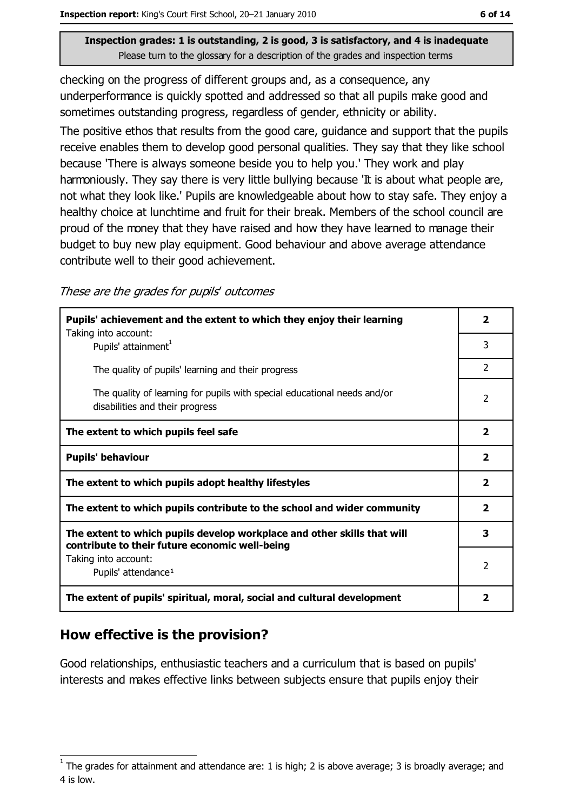checking on the progress of different groups and, as a consequence, any underperformance is quickly spotted and addressed so that all pupils make good and sometimes outstanding progress, regardless of gender, ethnicity or ability.

The positive ethos that results from the good care, guidance and support that the pupils receive enables them to develop good personal qualities. They say that they like school because 'There is always someone beside you to help you.' They work and play harmoniously. They say there is very little bullying because 'It is about what people are, not what they look like.' Pupils are knowledgeable about how to stay safe. They enjoy a healthy choice at lunchtime and fruit for their break. Members of the school council are proud of the money that they have raised and how they have learned to manage their budget to buy new play equipment. Good behaviour and above average attendance contribute well to their good achievement.

These are the grades for pupils' outcomes

| Pupils' achievement and the extent to which they enjoy their learning                                                     |                          |
|---------------------------------------------------------------------------------------------------------------------------|--------------------------|
| Taking into account:<br>Pupils' attainment <sup>1</sup>                                                                   | 3                        |
| The quality of pupils' learning and their progress                                                                        | $\overline{2}$           |
| The quality of learning for pupils with special educational needs and/or<br>disabilities and their progress               | $\overline{\phantom{a}}$ |
| The extent to which pupils feel safe                                                                                      | $\mathbf{2}$             |
| <b>Pupils' behaviour</b>                                                                                                  | $\overline{\mathbf{2}}$  |
| The extent to which pupils adopt healthy lifestyles                                                                       | $\mathbf{2}$             |
| The extent to which pupils contribute to the school and wider community                                                   |                          |
| The extent to which pupils develop workplace and other skills that will<br>contribute to their future economic well-being | 3                        |
| Taking into account:<br>Pupils' attendance <sup>1</sup>                                                                   | 2                        |
| The extent of pupils' spiritual, moral, social and cultural development                                                   | 2                        |

## How effective is the provision?

Good relationships, enthusiastic teachers and a curriculum that is based on pupils' interests and makes effective links between subjects ensure that pupils enjoy their

The grades for attainment and attendance are: 1 is high; 2 is above average; 3 is broadly average; and 4 is low.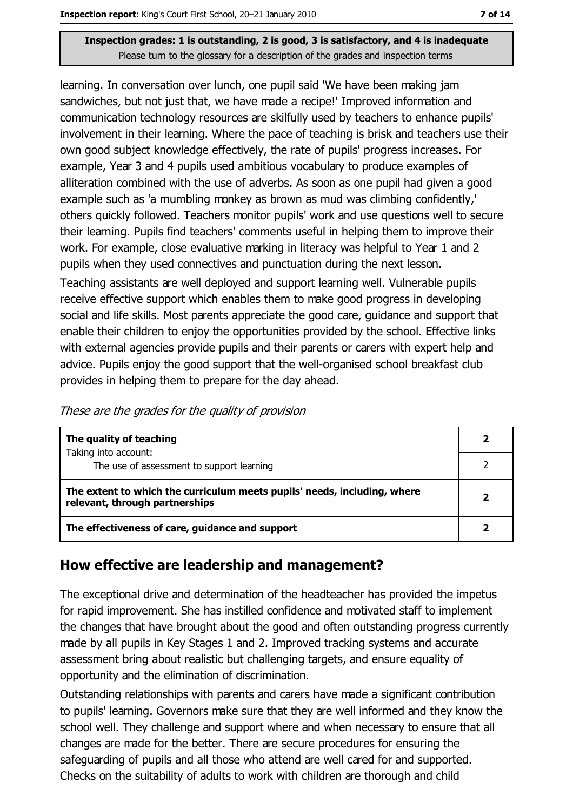learning. In conversation over lunch, one pupil said 'We have been making jam sandwiches, but not just that, we have made a recipe!' Improved information and communication technology resources are skilfully used by teachers to enhance pupils' involvement in their learning. Where the pace of teaching is brisk and teachers use their own good subject knowledge effectively, the rate of pupils' progress increases. For example, Year 3 and 4 pupils used ambitious vocabulary to produce examples of alliteration combined with the use of adverbs. As soon as one pupil had given a good example such as 'a mumbling monkey as brown as mud was climbing confidently,' others quickly followed. Teachers monitor pupils' work and use questions well to secure their learning. Pupils find teachers' comments useful in helping them to improve their work. For example, close evaluative marking in literacy was helpful to Year 1 and 2 pupils when they used connectives and punctuation during the next lesson.

Teaching assistants are well deployed and support learning well. Vulnerable pupils receive effective support which enables them to make good progress in developing social and life skills. Most parents appreciate the good care, guidance and support that enable their children to enjoy the opportunities provided by the school. Effective links with external agencies provide pupils and their parents or carers with expert help and advice. Pupils enjoy the good support that the well-organised school breakfast club provides in helping them to prepare for the day ahead.

| These are the grades for the quality of provision |  |
|---------------------------------------------------|--|
|---------------------------------------------------|--|

| The quality of teaching                                                                                    |  |
|------------------------------------------------------------------------------------------------------------|--|
| Taking into account:<br>The use of assessment to support learning                                          |  |
| The extent to which the curriculum meets pupils' needs, including, where<br>relevant, through partnerships |  |
| The effectiveness of care, guidance and support                                                            |  |

## How effective are leadership and management?

The exceptional drive and determination of the headteacher has provided the impetus for rapid improvement. She has instilled confidence and motivated staff to implement the changes that have brought about the good and often outstanding progress currently made by all pupils in Key Stages 1 and 2. Improved tracking systems and accurate assessment bring about realistic but challenging targets, and ensure equality of opportunity and the elimination of discrimination.

Outstanding relationships with parents and carers have made a significant contribution to pupils' learning. Governors make sure that they are well informed and they know the school well. They challenge and support where and when necessary to ensure that all changes are made for the better. There are secure procedures for ensuring the safeguarding of pupils and all those who attend are well cared for and supported. Checks on the suitability of adults to work with children are thorough and child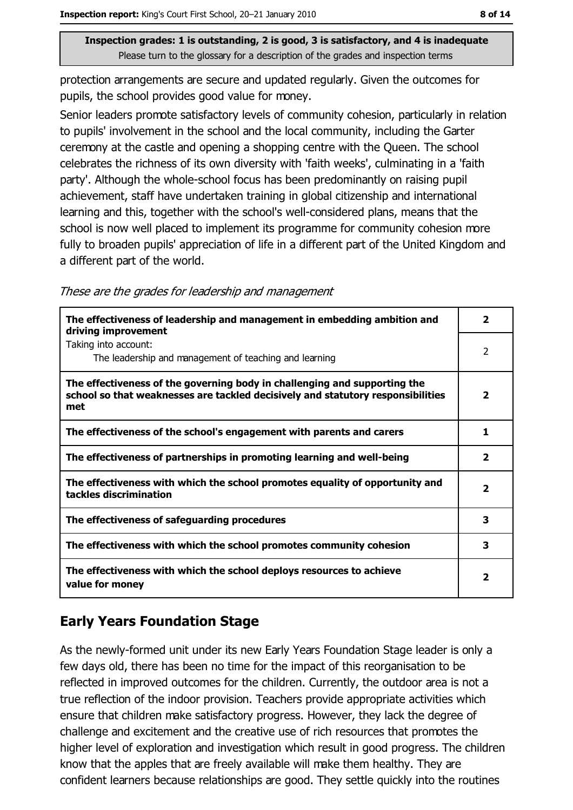protection arrangements are secure and updated regularly. Given the outcomes for pupils, the school provides good value for money.

Senior leaders promote satisfactory levels of community cohesion, particularly in relation to pupils' involvement in the school and the local community, including the Garter ceremony at the castle and opening a shopping centre with the Queen. The school celebrates the richness of its own diversity with 'faith weeks', culminating in a 'faith party'. Although the whole-school focus has been predominantly on raising pupil achievement, staff have undertaken training in global citizenship and international learning and this, together with the school's well-considered plans, means that the school is now well placed to implement its programme for community cohesion more fully to broaden pupils' appreciation of life in a different part of the United Kingdom and a different part of the world.

These are the grades for leadership and management

| The effectiveness of leadership and management in embedding ambition and<br>driving improvement                                                                     | $\mathbf{2}$            |
|---------------------------------------------------------------------------------------------------------------------------------------------------------------------|-------------------------|
| Taking into account:<br>The leadership and management of teaching and learning                                                                                      | $\overline{2}$          |
| The effectiveness of the governing body in challenging and supporting the<br>school so that weaknesses are tackled decisively and statutory responsibilities<br>met | $\overline{2}$          |
| The effectiveness of the school's engagement with parents and carers                                                                                                | 1                       |
| The effectiveness of partnerships in promoting learning and well-being                                                                                              | $\overline{2}$          |
| The effectiveness with which the school promotes equality of opportunity and<br>tackles discrimination                                                              | $\overline{\mathbf{2}}$ |
| The effectiveness of safeguarding procedures                                                                                                                        | 3                       |
| The effectiveness with which the school promotes community cohesion                                                                                                 | 3                       |
| The effectiveness with which the school deploys resources to achieve<br>value for money                                                                             | 2                       |

## **Early Years Foundation Stage**

As the newly-formed unit under its new Early Years Foundation Stage leader is only a few days old, there has been no time for the impact of this reorganisation to be reflected in improved outcomes for the children. Currently, the outdoor area is not a true reflection of the indoor provision. Teachers provide appropriate activities which ensure that children make satisfactory progress. However, they lack the degree of challenge and excitement and the creative use of rich resources that promotes the higher level of exploration and investigation which result in good progress. The children know that the apples that are freely available will make them healthy. They are confident learners because relationships are good. They settle quickly into the routines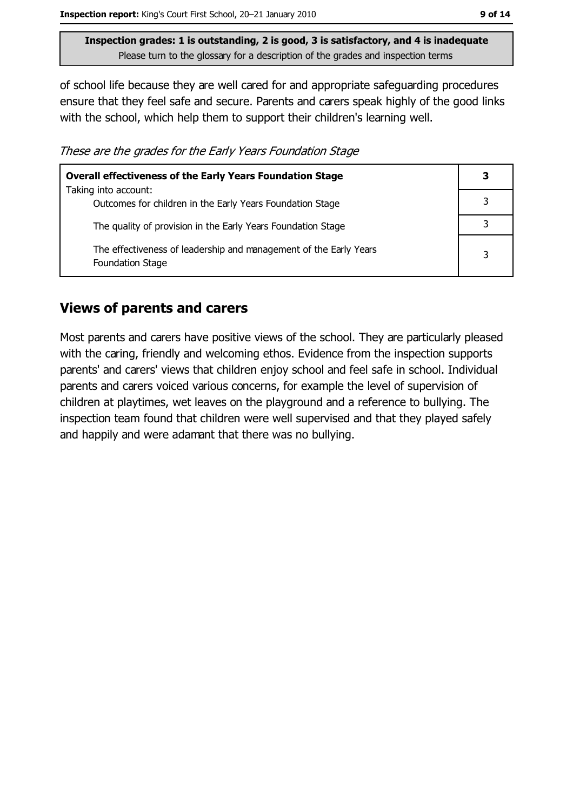of school life because they are well cared for and appropriate safeguarding procedures ensure that they feel safe and secure. Parents and carers speak highly of the good links with the school, which help them to support their children's learning well.

These are the grades for the Early Years Foundation Stage

| <b>Overall effectiveness of the Early Years Foundation Stage</b>                      | 3 |
|---------------------------------------------------------------------------------------|---|
| Taking into account:<br>Outcomes for children in the Early Years Foundation Stage     |   |
| The quality of provision in the Early Years Foundation Stage                          |   |
| The effectiveness of leadership and management of the Early Years<br>Foundation Stage | 3 |

## **Views of parents and carers**

Most parents and carers have positive views of the school. They are particularly pleased with the caring, friendly and welcoming ethos. Evidence from the inspection supports parents' and carers' views that children enjoy school and feel safe in school. Individual parents and carers voiced various concerns, for example the level of supervision of children at playtimes, wet leaves on the playground and a reference to bullying. The inspection team found that children were well supervised and that they played safely and happily and were adamant that there was no bullying.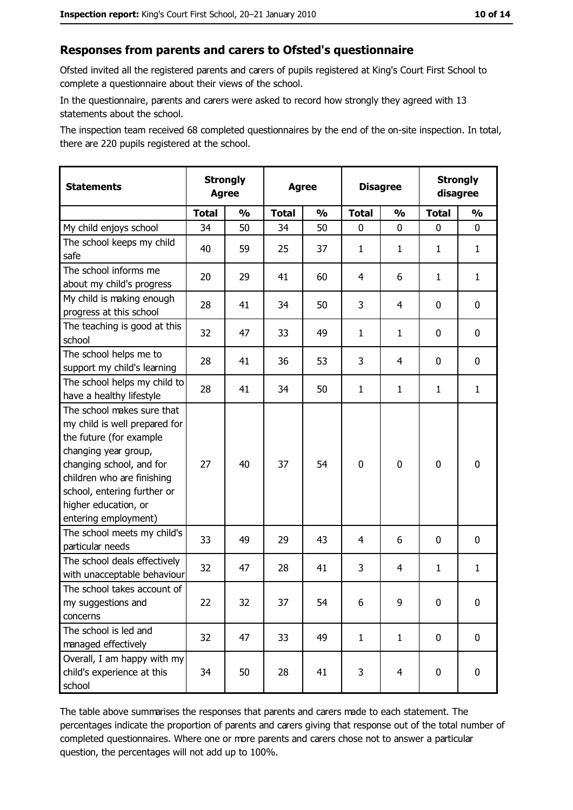#### Responses from parents and carers to Ofsted's questionnaire

Ofsted invited all the registered parents and carers of pupils registered at King's Court First School to complete a questionnaire about their views of the school.

In the questionnaire, parents and carers were asked to record how strongly they agreed with 13 statements about the school.

The inspection team received 68 completed questionnaires by the end of the on-site inspection. In total, there are 220 pupils registered at the school.

| <b>Statements</b>                                                                                                                                                                                                                                       | <b>Strongly</b><br><b>Agree</b> |               | <b>Agree</b> |               | <b>Disagree</b> |                | <b>Strongly</b><br>disagree |                  |
|---------------------------------------------------------------------------------------------------------------------------------------------------------------------------------------------------------------------------------------------------------|---------------------------------|---------------|--------------|---------------|-----------------|----------------|-----------------------------|------------------|
|                                                                                                                                                                                                                                                         | <b>Total</b>                    | $\frac{1}{2}$ | <b>Total</b> | $\frac{0}{0}$ | <b>Total</b>    | $\frac{1}{2}$  | <b>Total</b>                | $\frac{1}{2}$    |
| My child enjoys school                                                                                                                                                                                                                                  | 34                              | 50            | 34           | 50            | 0               | 0              | 0                           | 0                |
| The school keeps my child<br>safe                                                                                                                                                                                                                       | 40                              | 59            | 25           | 37            | 1               | 1              | 1                           | $\mathbf{1}$     |
| The school informs me<br>about my child's progress                                                                                                                                                                                                      | 20                              | 29            | 41           | 60            | 4               | 6              | 1                           | $\mathbf{1}$     |
| My child is making enough<br>progress at this school                                                                                                                                                                                                    | 28                              | 41            | 34           | 50            | 3               | 4              | 0                           | 0                |
| The teaching is good at this<br>school                                                                                                                                                                                                                  | 32                              | 47            | 33           | 49            | $\mathbf{1}$    | $\mathbf{1}$   | 0                           | 0                |
| The school helps me to<br>support my child's learning                                                                                                                                                                                                   | 28                              | 41            | 36           | 53            | 3               | 4              | 0                           | 0                |
| The school helps my child to<br>have a healthy lifestyle                                                                                                                                                                                                | 28                              | 41            | 34           | 50            | $\mathbf{1}$    | $\mathbf{1}$   | 1                           | $\mathbf{1}$     |
| The school makes sure that<br>my child is well prepared for<br>the future (for example<br>changing year group,<br>changing school, and for<br>children who are finishing<br>school, entering further or<br>higher education, or<br>entering employment) | 27                              | 40            | 37           | 54            | $\mathbf 0$     | 0              | $\mathbf 0$                 | $\mathbf 0$      |
| The school meets my child's<br>particular needs                                                                                                                                                                                                         | 33                              | 49            | 29           | 43            | 4               | 6              | 0                           | 0                |
| The school deals effectively<br>with unacceptable behaviour                                                                                                                                                                                             | 32                              | 47            | 28           | 41            | 3               | 4              | $\mathbf{1}$                | $\mathbf{1}$     |
| The school takes account of<br>my suggestions and<br>concerns                                                                                                                                                                                           | 22                              | 32            | 37           | 54            | 6               | 9              | 0                           | $\boldsymbol{0}$ |
| The school is led and<br>managed effectively                                                                                                                                                                                                            | 32                              | 47            | 33           | 49            | $\mathbf{1}$    | $\mathbf{1}$   | $\mathbf 0$                 | $\mathbf 0$      |
| Overall, I am happy with my<br>child's experience at this<br>school                                                                                                                                                                                     | 34                              | 50            | 28           | 41            | 3               | $\overline{4}$ | $\mathbf 0$                 | $\mathbf 0$      |

The table above summarises the responses that parents and carers made to each statement. The percentages indicate the proportion of parents and carers giving that response out of the total number of completed questionnaires. Where one or more parents and carers chose not to answer a particular question, the percentages will not add up to 100%.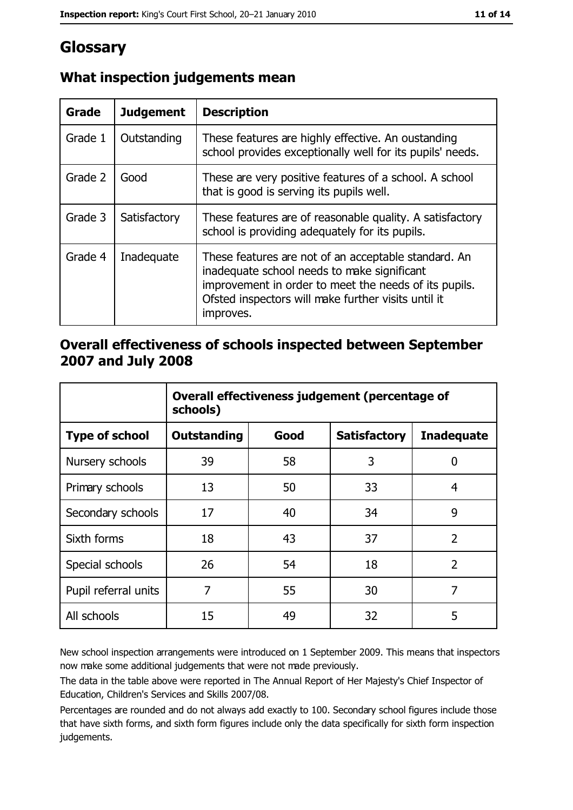# Glossary

| Grade   | <b>Judgement</b> | <b>Description</b>                                                                                                                                                                                                               |
|---------|------------------|----------------------------------------------------------------------------------------------------------------------------------------------------------------------------------------------------------------------------------|
| Grade 1 | Outstanding      | These features are highly effective. An oustanding<br>school provides exceptionally well for its pupils' needs.                                                                                                                  |
| Grade 2 | Good             | These are very positive features of a school. A school<br>that is good is serving its pupils well.                                                                                                                               |
| Grade 3 | Satisfactory     | These features are of reasonable quality. A satisfactory<br>school is providing adequately for its pupils.                                                                                                                       |
| Grade 4 | Inadequate       | These features are not of an acceptable standard. An<br>inadequate school needs to make significant<br>improvement in order to meet the needs of its pupils.<br>Ofsted inspectors will make further visits until it<br>improves. |

## What inspection judgements mean

## Overall effectiveness of schools inspected between September 2007 and July 2008

|                       | Overall effectiveness judgement (percentage of<br>schools) |      |                     |                   |
|-----------------------|------------------------------------------------------------|------|---------------------|-------------------|
| <b>Type of school</b> | <b>Outstanding</b>                                         | Good | <b>Satisfactory</b> | <b>Inadequate</b> |
| Nursery schools       | 39                                                         | 58   | 3                   | 0                 |
| Primary schools       | 13                                                         | 50   | 33                  | 4                 |
| Secondary schools     | 17                                                         | 40   | 34                  | 9                 |
| Sixth forms           | 18                                                         | 43   | 37                  | $\overline{2}$    |
| Special schools       | 26                                                         | 54   | 18                  | $\overline{2}$    |
| Pupil referral units  | 7                                                          | 55   | 30                  | 7                 |
| All schools           | 15                                                         | 49   | 32                  | 5                 |

New school inspection arrangements were introduced on 1 September 2009. This means that inspectors now make some additional judgements that were not made previously.

The data in the table above were reported in The Annual Report of Her Majesty's Chief Inspector of Education, Children's Services and Skills 2007/08.

Percentages are rounded and do not always add exactly to 100. Secondary school figures include those that have sixth forms, and sixth form figures include only the data specifically for sixth form inspection judgements.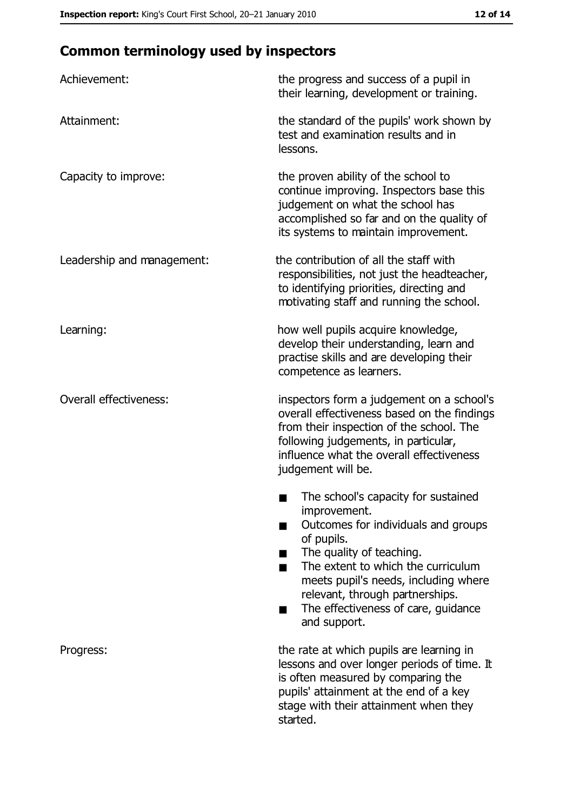# **Common terminology used by inspectors**

| Achievement:                  | the progress and success of a pupil in<br>their learning, development or training.                                                                                                                                                                                                                           |
|-------------------------------|--------------------------------------------------------------------------------------------------------------------------------------------------------------------------------------------------------------------------------------------------------------------------------------------------------------|
| Attainment:                   | the standard of the pupils' work shown by<br>test and examination results and in<br>lessons.                                                                                                                                                                                                                 |
| Capacity to improve:          | the proven ability of the school to<br>continue improving. Inspectors base this<br>judgement on what the school has<br>accomplished so far and on the quality of<br>its systems to maintain improvement.                                                                                                     |
| Leadership and management:    | the contribution of all the staff with<br>responsibilities, not just the headteacher,<br>to identifying priorities, directing and<br>motivating staff and running the school.                                                                                                                                |
| Learning:                     | how well pupils acquire knowledge,<br>develop their understanding, learn and<br>practise skills and are developing their<br>competence as learners.                                                                                                                                                          |
| <b>Overall effectiveness:</b> | inspectors form a judgement on a school's<br>overall effectiveness based on the findings<br>from their inspection of the school. The<br>following judgements, in particular,<br>influence what the overall effectiveness<br>judgement will be.                                                               |
|                               | The school's capacity for sustained<br>improvement.<br>Outcomes for individuals and groups<br>of pupils.<br>The quality of teaching.<br>The extent to which the curriculum<br>meets pupil's needs, including where<br>relevant, through partnerships.<br>The effectiveness of care, guidance<br>and support. |
| Progress:                     | the rate at which pupils are learning in<br>lessons and over longer periods of time. It<br>is often measured by comparing the<br>pupils' attainment at the end of a key<br>stage with their attainment when they<br>started.                                                                                 |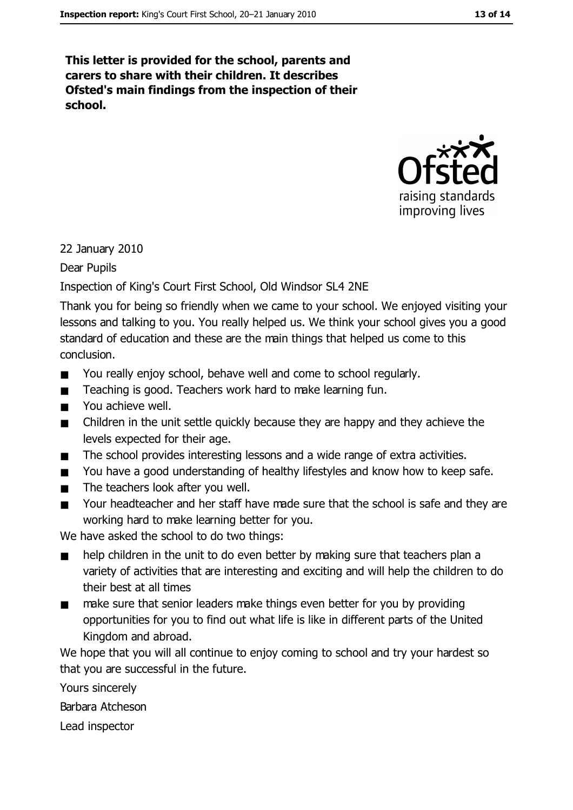This letter is provided for the school, parents and carers to share with their children. It describes Ofsted's main findings from the inspection of their school.



22 January 2010

Dear Pupils

Inspection of King's Court First School, Old Windsor SL4 2NE

Thank you for being so friendly when we came to your school. We enjoyed visiting your lessons and talking to you. You really helped us. We think your school gives you a good standard of education and these are the main things that helped us come to this conclusion.

- You really enjoy school, behave well and come to school regularly.  $\blacksquare$
- Teaching is good. Teachers work hard to make learning fun.  $\blacksquare$
- You achieve well.  $\blacksquare$
- Children in the unit settle quickly because they are happy and they achieve the  $\blacksquare$ levels expected for their age.
- The school provides interesting lessons and a wide range of extra activities.  $\blacksquare$
- You have a good understanding of healthy lifestyles and know how to keep safe.  $\blacksquare$
- The teachers look after you well.  $\blacksquare$
- Your headteacher and her staff have made sure that the school is safe and they are  $\blacksquare$ working hard to make learning better for you.

We have asked the school to do two things:

- help children in the unit to do even better by making sure that teachers plan a  $\blacksquare$ variety of activities that are interesting and exciting and will help the children to do their best at all times
- $\blacksquare$ make sure that senior leaders make things even better for you by providing opportunities for you to find out what life is like in different parts of the United Kingdom and abroad.

We hope that you will all continue to enjoy coming to school and try your hardest so that you are successful in the future.

Yours sincerely

Barbara Atcheson

Lead inspector